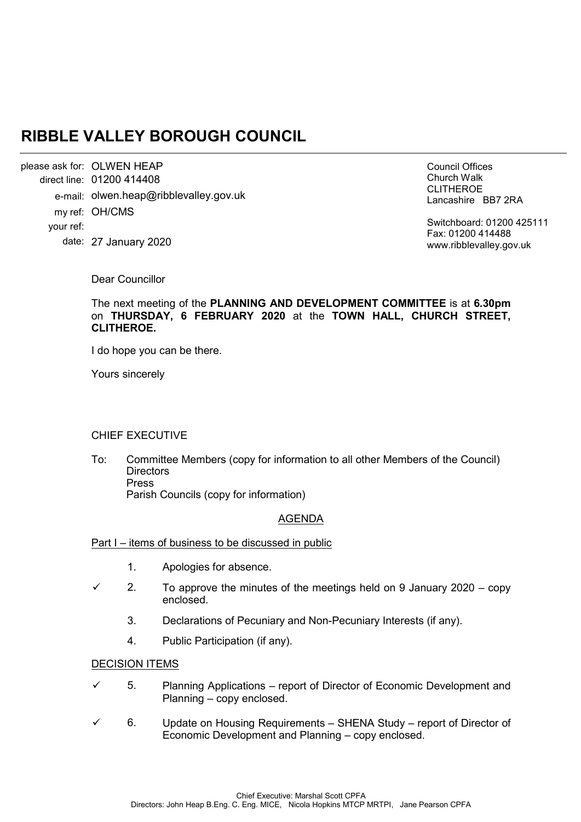# **RIBBLE VALLEY BOROUGH COUNCIL**

please ask for: OLWEN HEAP 01200 414408 direct line: e-mail: olwen.heap@ribblevalley.gov.uk my ref: OH/CMS 27 January 2020 date: your ref:

Council Offices Church Walk CLITHEROE Lancashire BB7 2RA

Switchboard: 01200 425111 Fax: 01200 414488 www.ribblevalley.gov.uk

Dear Councillor

The next meeting of the **PLANNING AND DEVELOPMENT COMMITTEE** is at **6.30pm**  on **THURSDAY, 6 FEBRUARY 2020** at the **TOWN HALL, CHURCH STREET, CLITHEROE.**

I do hope you can be there.

Yours sincerely

# CHIEF EXECUTIVE

To: Committee Members (copy for information to all other Members of the Council) **Directors** Press Parish Councils (copy for information)

# AGENDA

### Part I – items of business to be discussed in public

- 1. Apologies for absence.
- $\checkmark$  2. To approve the minutes of the meetings held on 9 January 2020 copy enclosed.
	- 3. Declarations of Pecuniary and Non-Pecuniary Interests (if any).
	- 4. Public Participation (if any).

#### DECISION ITEMS

- $\checkmark$  5. Planning Applications report of Director of Economic Development and Planning – copy enclosed.
- 6. Update on Housing Requirements SHENA Study report of Director of Economic Development and Planning – copy enclosed.